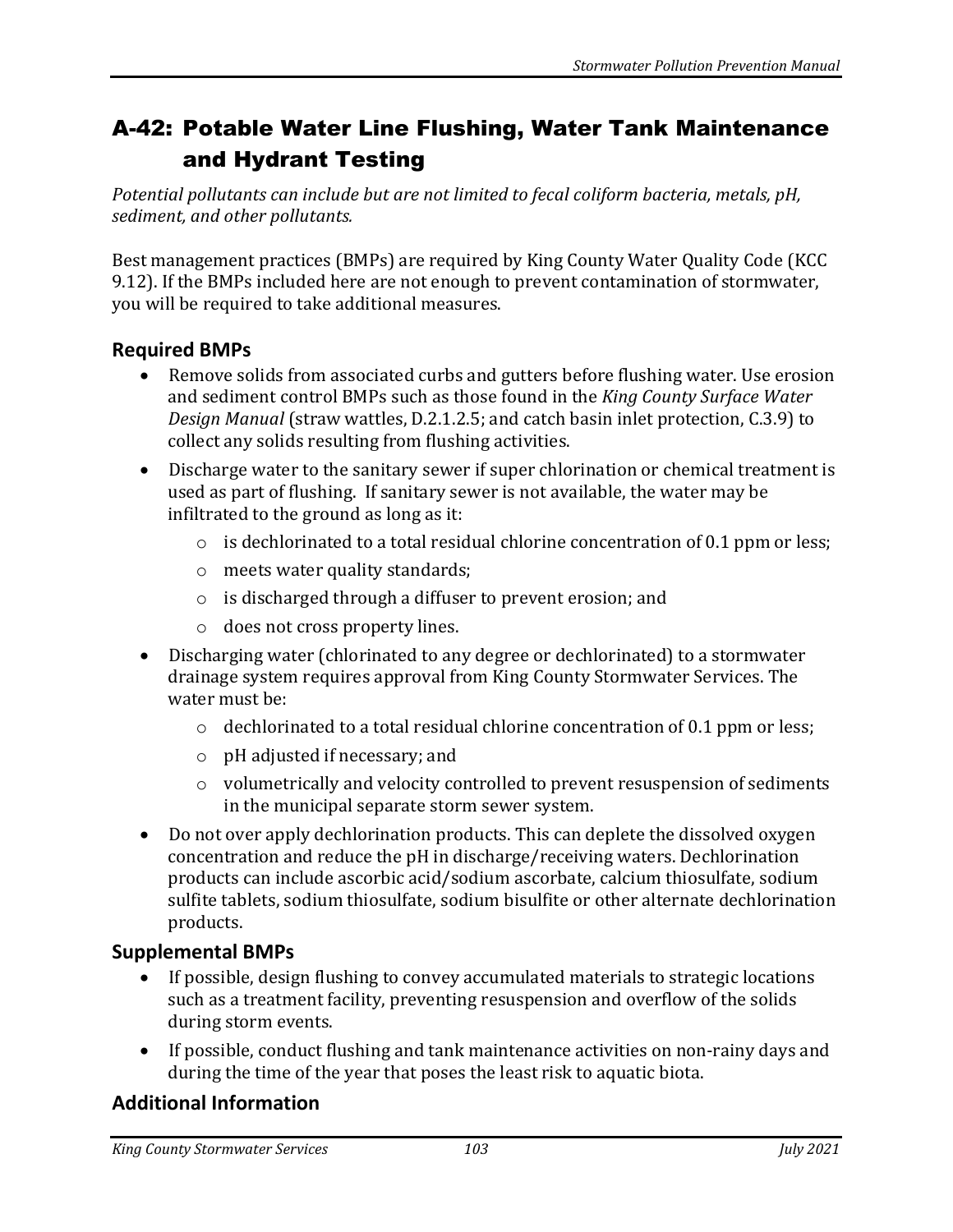## A-42: Potable Water Line Flushing, Water Tank Maintenance and Hydrant Testing

*Potential pollutants can include but are not limited to fecal coliform bacteria, metals, pH, sediment, and other pollutants.*

Best management practices (BMPs) are required by King County Water Quality Code (KCC 9.12). If the BMPs included here are not enough to prevent contamination of stormwater, you will be required to take additional measures.

## **Required BMPs**

- Remove solids from associated curbs and gutters before flushing water. Use erosion and sediment control BMPs such as those found in the *King County Surface Water Design Manual* (straw wattles, D.2.1.2.5; and catch basin inlet protection, C.3.9) to collect any solids resulting from flushing activities.
- Discharge water to the sanitary sewer if super chlorination or chemical treatment is used as part of flushing. If sanitary sewer is not available, the water may be infiltrated to the ground as long as it:
	- $\circ$  is dechlorinated to a total residual chlorine concentration of 0.1 ppm or less;
	- o meets water quality standards;
	- o is discharged through a diffuser to prevent erosion; and
	- o does not cross property lines.
- Discharging water (chlorinated to any degree or dechlorinated) to a stormwater drainage system requires approval from King County Stormwater Services. The water must be:
	- $\circ$  dechlorinated to a total residual chlorine concentration of 0.1 ppm or less;
	- o pH adjusted if necessary; and
	- $\circ$  volumetrically and velocity controlled to prevent resuspension of sediments in the municipal separate storm sewer system.
- Do not over apply dechlorination products. This can deplete the dissolved oxygen concentration and reduce the pH in discharge/receiving waters. Dechlorination products can include ascorbic acid/sodium ascorbate, calcium thiosulfate, sodium sulfite tablets, sodium thiosulfate, sodium bisulfite or other alternate dechlorination products.

## **Supplemental BMPs**

- If possible, design flushing to convey accumulated materials to strategic locations such as a treatment facility, preventing resuspension and overflow of the solids during storm events.
- If possible, conduct flushing and tank maintenance activities on non-rainy days and during the time of the year that poses the least risk to aquatic biota.

## **Additional Information**